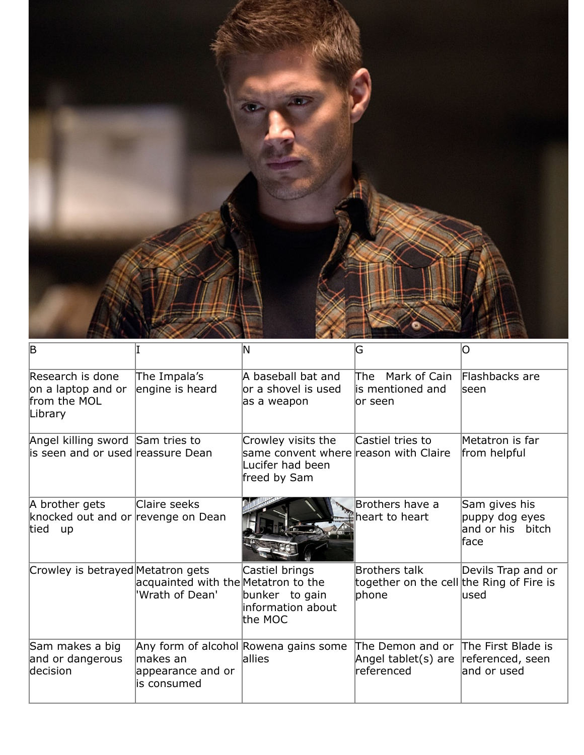

| $\overline{\mathsf{B}}$                                               |                                                        | ΙN                                                                                              | G                                                                                                | O                                                           |
|-----------------------------------------------------------------------|--------------------------------------------------------|-------------------------------------------------------------------------------------------------|--------------------------------------------------------------------------------------------------|-------------------------------------------------------------|
| Research is done<br>on a laptop and or<br>from the MOL<br>Library     | The Impala's<br>engine is heard                        | A baseball bat and<br>or a shovel is used<br>as a weapon                                        | lThe<br>Mark of Cain<br>lis mentioned and<br>lor seen                                            | Flashbacks are<br><b>seen</b>                               |
| Angel killing sword Sam tries to<br>is seen and or used reassure Dean |                                                        | Crowley visits the<br>same convent where reason with Claire<br>Lucifer had been<br>freed by Sam | Castiel tries to                                                                                 | Metatron is far<br>from helpful                             |
| A brother gets<br>knocked out and or revenge on Dean<br>tied up       | Claire seeks                                           |                                                                                                 | Brothers have a<br>heart to heart                                                                | Sam gives his<br>puppy dog eyes<br>and or his bitch<br>face |
| Crowley is betrayed Metatron gets                                     | acquainted with the Metatron to the<br>'Wrath of Dean' | Castiel brings<br>bunker to gain<br>linformation about<br>the MOC                               | Brothers talk<br>together on the cell the Ring of Fire is<br>phone                               | Devils Trap and or<br>lused                                 |
| Sam makes a big<br>and or dangerous<br>decision                       | lmakes an<br>appearance and or<br>lis consumed         | Any form of alcohol Rowena gains some<br><b>lallies</b>                                         | The Demon and or The First Blade is<br>Angel tablet(s) are referenced, seen<br><b>referenced</b> | land or used                                                |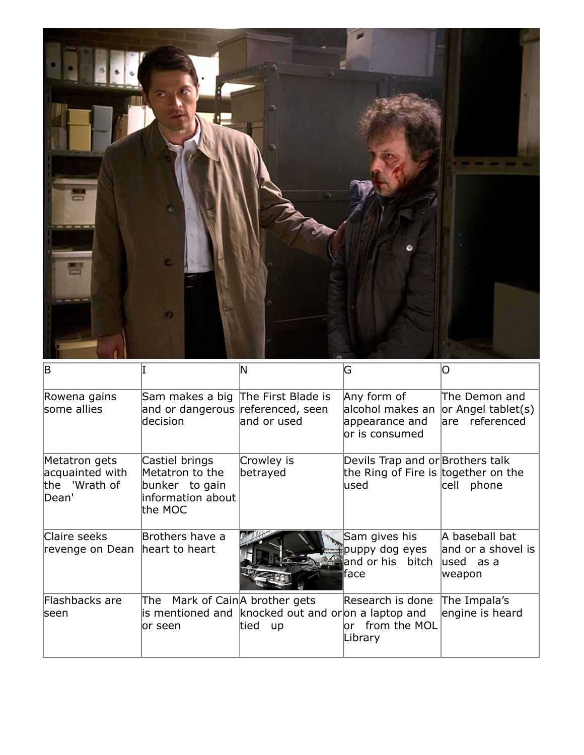

| ΙB                                                         |                                                                                     | N                                                                                                      | G                                                                                | O                                                              |
|------------------------------------------------------------|-------------------------------------------------------------------------------------|--------------------------------------------------------------------------------------------------------|----------------------------------------------------------------------------------|----------------------------------------------------------------|
| Rowena gains<br>some allies                                | Sam makes a big The First Blade is<br>and or dangerous referenced, seen<br>decision | and or used                                                                                            | Any form of<br>alcohol makes an<br>appearance and<br>lor is consumed             | The Demon and<br>$ $ or Angel tablet(s)<br>are referenced      |
| Metatron gets<br>acquainted with<br>the 'Wrath of<br>Dean' | Castiel brings<br>Metatron to the<br>bunker to gain<br>information about<br>the MOC | Crowley is<br>betrayed                                                                                 | Devils Trap and or Brothers talk<br>the Ring of Fire is together on the<br>lused | cell phone                                                     |
| Claire seeks<br>revenge on Dean   heart to heart           | Brothers have a                                                                     |                                                                                                        | Sam gives his<br>puppy dog eyes<br>and or his bitch<br>lface                     | A baseball bat<br>and or a shovel is<br>$ used$ as a<br>weapon |
| Flashbacks are<br>lseen                                    | The<br>or seen                                                                      | Mark of Cain A brother gets<br>is mentioned and knocked out and oron a laptop and<br>tied<br><b>up</b> | Research is done<br>or from the MOL<br>Library                                   | The Impala's<br>engine is heard                                |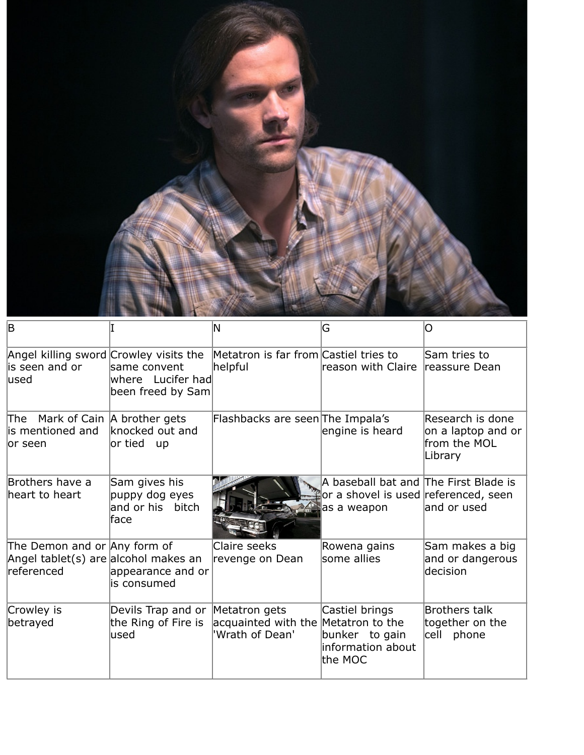

| ΙB                                                                                  |                                                                  | N                                                      | G                                                                                            |                                                                   |
|-------------------------------------------------------------------------------------|------------------------------------------------------------------|--------------------------------------------------------|----------------------------------------------------------------------------------------------|-------------------------------------------------------------------|
| Angel killing sword Crowley visits the<br>lis seen and or<br>lused                  | same convent<br>where Lucifer had<br>been freed by Sam           | Metatron is far from Castiel tries to<br>helpful       | reason with Claire reassure Dean                                                             | Sam tries to                                                      |
| The<br>lis mentioned and<br>lor seen                                                | Mark of Cain   A brother gets<br>knocked out and<br>or tied up   | Flashbacks are seen The Impala's                       | engine is heard                                                                              | Research is done<br>on a laptop and or<br>from the MOL<br>Library |
| Brothers have a<br>heart to heart                                                   | Sam gives his<br>puppy dog eyes<br>and or his bitch<br>face      |                                                        | A baseball bat and The First Blade is<br>or a shovel is used referenced, seen<br>as a weapon | and or used                                                       |
| The Demon and or Any form of<br>Angel tablet(s) are alcohol makes an<br>lreferenced | appearance and or<br>lis consumed                                | Claire seeks<br>revenge on Dean                        | Rowena gains<br>some allies                                                                  | Sam makes a big<br>and or dangerous<br>decision                   |
| Crowley is<br>betrayed                                                              | Devils Trap and or Metatron gets<br>the Ring of Fire is<br>lused | acquainted with the Metatron to the<br>'Wrath of Dean' | Castiel brings<br>bunker to gain<br>information about<br>the MOC                             | Brothers talk<br>together on the<br>cell phone                    |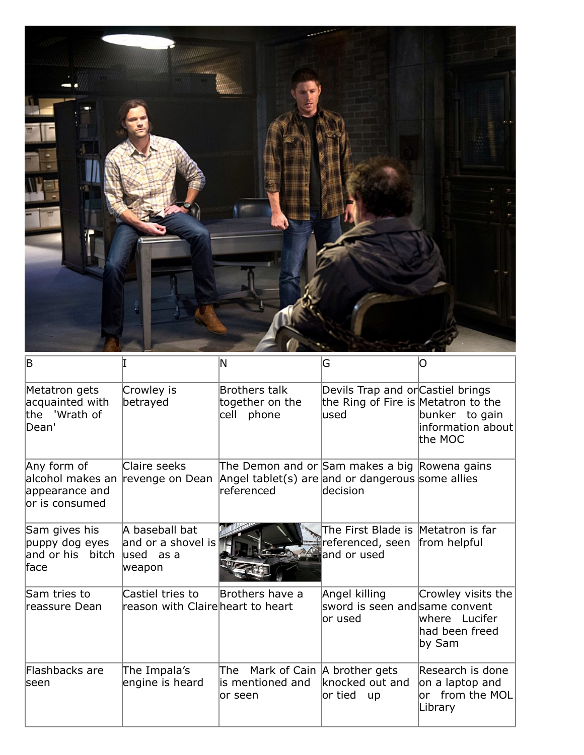

| B                                                                                    |                                                                | N                                                                                                               | G                                                                                 | O                                                                 |
|--------------------------------------------------------------------------------------|----------------------------------------------------------------|-----------------------------------------------------------------------------------------------------------------|-----------------------------------------------------------------------------------|-------------------------------------------------------------------|
| Metatron gets<br>acquainted with<br>the 'Wrath of<br>Dean'                           | Crowley is<br>betrayed                                         | Brothers talk<br>together on the<br>cell phone                                                                  | Devils Trap and or Castiel brings<br>the Ring of Fire is Metatron to the<br>lused | bunker to gain<br>information about<br>the MOC                    |
| Any form of<br>alcohol makes an revenge on Dean<br>appearance and<br>lor is consumed | Claire seeks                                                   | The Demon and or Sam makes a big Rowena gains<br>Angel tablet(s) are and or dangerous some allies<br>referenced | decision                                                                          |                                                                   |
| Sam gives his<br>puppy dog eyes<br>and or his bitch<br>face                          | A baseball bat<br>and or a shovel is<br>$lused$ as a<br>weapon |                                                                                                                 | The First Blade is Metatron is far<br>referenced, seen<br>and or used             | from helpful                                                      |
| Sam tries to<br>reassure Dean                                                        | Castiel tries to<br>reason with Claire heart to heart          | Brothers have a                                                                                                 | Angel killing<br>sword is seen and same convent<br>lor used                       | Crowley visits the<br>where Lucifer<br>had been freed<br>by Sam   |
| Flashbacks are<br>seen                                                               | The Impala's<br>engine is heard                                | The Mark of Cain A brother gets<br>is mentioned and<br>or seen                                                  | knocked out and<br>$\operatorname{\mathsf{or}}\nolimits$ tied<br><b>up</b>        | Research is done<br>on a laptop and<br>or from the MOL<br>Library |